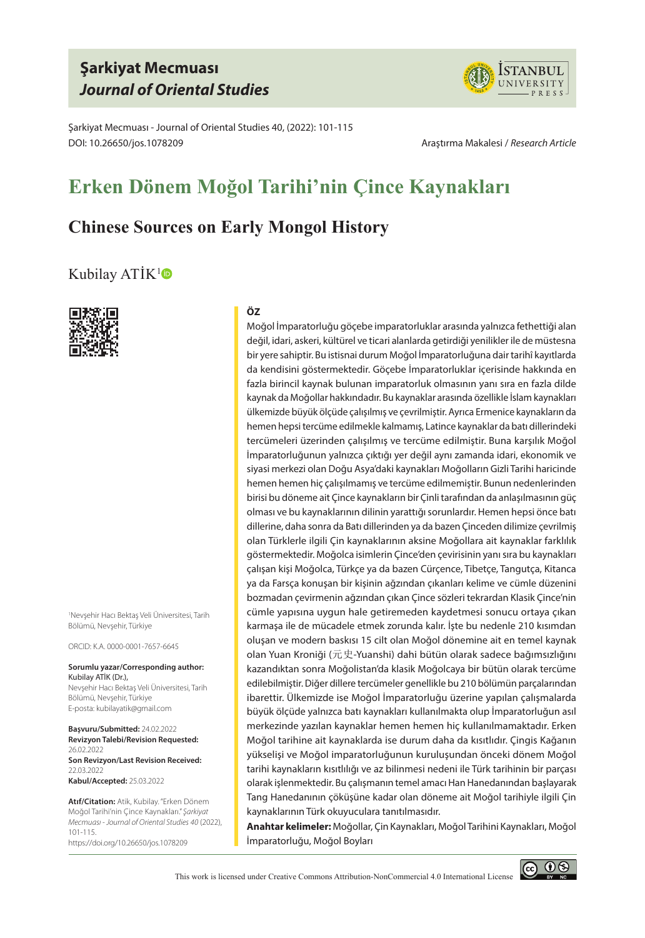## **Şarkiyat Mecmuası** *Journal of Oriental Studies*



Şarkiyat Mecmuası - Journal of Oriental Studies 40, (2022): 101-115 DOI: 10.26650/jos.1078209 Araştırma Makalesi / *Research Article*

# **Erken Dönem Moğol Tarihi'nin Çince Kaynakları**

## **Chinese Sources on Early Mongol History**

### [Kubilay ATİK](https://orcid.org/0000-0001-7657-6645)<sup>1</sup>



1 Nevşehir Hacı Bektaş Veli Üniversitesi, Tarih Bölümü, Nevşehir, Türkiye

ORCID: K.A. 0000-0001-7657-6645

#### **Sorumlu yazar/Corresponding author:** Kubilay ATİK (Dr.),

Nevşehir Hacı Bektaş Veli Üniversitesi, Tarih Bölümü, Nevşehir, Türkiye E-posta: kubilayatik@gmail.com

**Başvuru/Submitted:** 24.02.2022 **Revizyon Talebi/Revision Requested:**  26.02.2022 **Son Revizyon/Last Revision Received:**  22.03.2022 **Kabul/Accepted:** 25.03.2022

**Atıf/Citation:** Atik, Kubilay. "Erken Dönem Moğol Tarihi'nin Çince Kaynakları." *Şarkiyat Mecmuası - Journal of Oriental Studies 40* (2022), 101-115. https://doi.org/10.26650/jos.1078209

#### **ÖZ**

Moğol İmparatorluğu göçebe imparatorluklar arasında yalnızca fethettiği alan değil, idari, askeri, kültürel ve ticari alanlarda getirdiği yenilikler ile de müstesna bir yere sahiptir. Bu istisnai durum Moğol İmparatorluğuna dair tarihî kayıtlarda da kendisini göstermektedir. Göçebe İmparatorluklar içerisinde hakkında en fazla birincil kaynak bulunan imparatorluk olmasının yanı sıra en fazla dilde kaynak da Moğollar hakkındadır. Bu kaynaklar arasında özellikle İslam kaynakları ülkemizde büyük ölçüde çalışılmış ve çevrilmiştir. Ayrıca Ermenice kaynakların da hemen hepsi tercüme edilmekle kalmamış, Latince kaynaklar da batı dillerindeki tercümeleri üzerinden çalışılmış ve tercüme edilmiştir. Buna karşılık Moğol İmparatorluğunun yalnızca çıktığı yer değil aynı zamanda idari, ekonomik ve siyasi merkezi olan Doğu Asya'daki kaynakları Moğolların Gizli Tarihi haricinde hemen hemen hiç çalışılmamış ve tercüme edilmemiştir. Bunun nedenlerinden birisi bu döneme ait Çince kaynakların bir Çinli tarafından da anlaşılmasının güç olması ve bu kaynaklarının dilinin yarattığı sorunlardır. Hemen hepsi önce batı dillerine, daha sonra da Batı dillerinden ya da bazen Çinceden dilimize çevrilmiş olan Türklerle ilgili Çin kaynaklarının aksine Moğollara ait kaynaklar farklılık göstermektedir. Moğolca isimlerin Çince'den çevirisinin yanı sıra bu kaynakları çalışan kişi Moğolca, Türkçe ya da bazen Cürçence, Tibetçe, Tangutça, Kitanca ya da Farsça konuşan bir kişinin ağzından çıkanları kelime ve cümle düzenini bozmadan çevirmenin ağzından çıkan Çince sözleri tekrardan Klasik Çince'nin cümle yapısına uygun hale getiremeden kaydetmesi sonucu ortaya çıkan karmaşa ile de mücadele etmek zorunda kalır. İşte bu nedenle 210 kısımdan oluşan ve modern baskısı 15 cilt olan Moğol dönemine ait en temel kaynak olan Yuan Kroniği (元史-Yuanshi) dahi bütün olarak sadece bağımsızlığını kazandıktan sonra Moğolistan'da klasik Moğolcaya bir bütün olarak tercüme edilebilmiştir. Diğer dillere tercümeler genellikle bu 210 bölümün parçalarından ibarettir. Ülkemizde ise Moğol İmparatorluğu üzerine yapılan çalışmalarda büyük ölçüde yalnızca batı kaynakları kullanılmakta olup İmparatorluğun asıl merkezinde yazılan kaynaklar hemen hemen hiç kullanılmamaktadır. Erken Moğol tarihine ait kaynaklarda ise durum daha da kısıtlıdır. Çingis Kağanın yükselişi ve Moğol imparatorluğunun kuruluşundan önceki dönem Moğol tarihi kaynakların kısıtlılığı ve az bilinmesi nedeni ile Türk tarihinin bir parçası olarak işlenmektedir. Bu çalışmanın temel amacı Han Hanedanından başlayarak Tang Hanedanının çöküşüne kadar olan döneme ait Moğol tarihiyle ilgili Çin kaynaklarının Türk okuyuculara tanıtılmasıdır.

**Anahtar kelimeler:** Moğollar, Çin Kaynakları, Moğol Tarihini Kaynakları, Moğol İmparatorluğu, Moğol Boyları

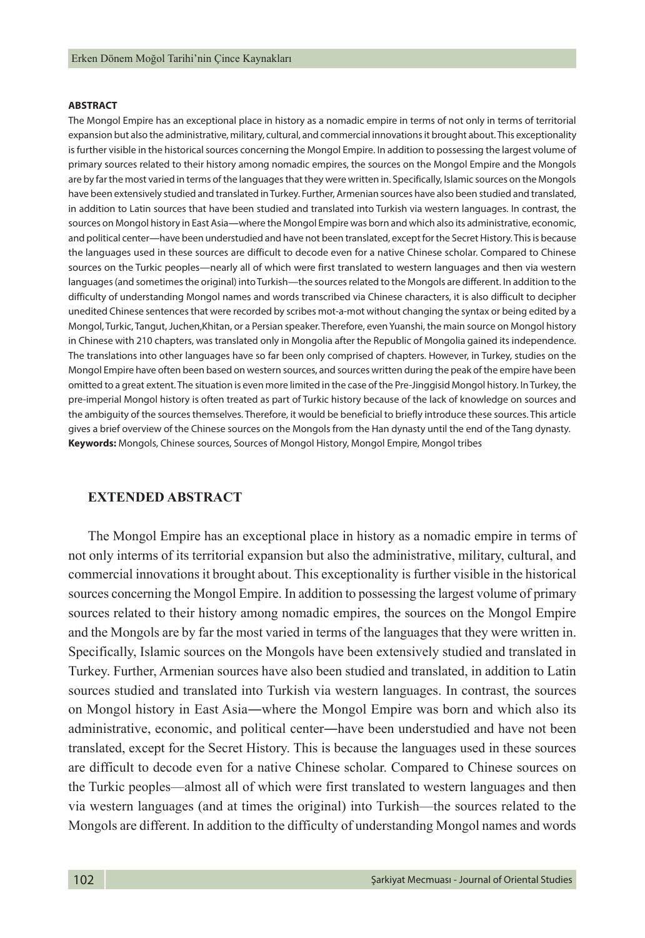#### **ABSTRACT**

The Mongol Empire has an exceptional place in history as a nomadic empire in terms of not only in terms of territorial expansion but also the administrative, military, cultural, and commercial innovations it brought about. This exceptionality is further visible in the historical sources concerning the Mongol Empire. In addition to possessing the largest volume of primary sources related to their history among nomadic empires, the sources on the Mongol Empire and the Mongols are by far the most varied in terms of the languages that they were written in. Specifically, Islamic sources on the Mongols have been extensively studied and translated in Turkey. Further, Armenian sources have also been studied and translated, in addition to Latin sources that have been studied and translated into Turkish via western languages. In contrast, the sources on Mongol history in East Asia―where the Mongol Empire was born and which also its administrative, economic, and political center―have been understudied and have not been translated, except for the Secret History. This is because the languages used in these sources are difficult to decode even for a native Chinese scholar. Compared to Chinese sources on the Turkic peoples—nearly all of which were first translated to western languages and then via western languages (and sometimes the original) into Turkish—the sources related to the Mongols are different. In addition to the difficulty of understanding Mongol names and words transcribed via Chinese characters, it is also difficult to decipher unedited Chinese sentences that were recorded by scribes mot-a-mot without changing the syntax or being edited by a Mongol, Turkic, Tangut, Juchen,Khitan, or a Persian speaker. Therefore, even Yuanshi, the main source on Mongol history in Chinese with 210 chapters, was translated only in Mongolia after the Republic of Mongolia gained its independence. The translations into other languages have so far been only comprised of chapters. However, in Turkey, studies on the Mongol Empire have often been based on western sources, and sources written during the peak of the empire have been omitted to a great extent. The situation is even more limited in the case of the Pre-Jinggisid Mongol history. In Turkey, the pre-imperial Mongol history is often treated as part of Turkic history because of the lack of knowledge on sources and the ambiguity of the sources themselves. Therefore, it would be beneficial to briefly introduce these sources. This article gives a brief overview of the Chinese sources on the Mongols from the Han dynasty until the end of the Tang dynasty. **Keywords:** Mongols, Chinese sources, Sources of Mongol History, Mongol Empire, Mongol tribes

#### **EXTENDED ABSTRACT**

The Mongol Empire has an exceptional place in history as a nomadic empire in terms of not only interms of its territorial expansion but also the administrative, military, cultural, and commercial innovations it brought about. This exceptionality is further visible in the historical sources concerning the Mongol Empire. In addition to possessing the largest volume of primary sources related to their history among nomadic empires, the sources on the Mongol Empire and the Mongols are by far the most varied in terms of the languages that they were written in. Specifically, Islamic sources on the Mongols have been extensively studied and translated in Turkey. Further, Armenian sources have also been studied and translated, in addition to Latin sources studied and translated into Turkish via western languages. In contrast, the sources on Mongol history in East Asia―where the Mongol Empire was born and which also its administrative, economic, and political center―have been understudied and have not been translated, except for the Secret History. This is because the languages used in these sources are difficult to decode even for a native Chinese scholar. Compared to Chinese sources on the Turkic peoples—almost all of which were first translated to western languages and then via western languages (and at times the original) into Turkish—the sources related to the Mongols are different. In addition to the difficulty of understanding Mongol names and words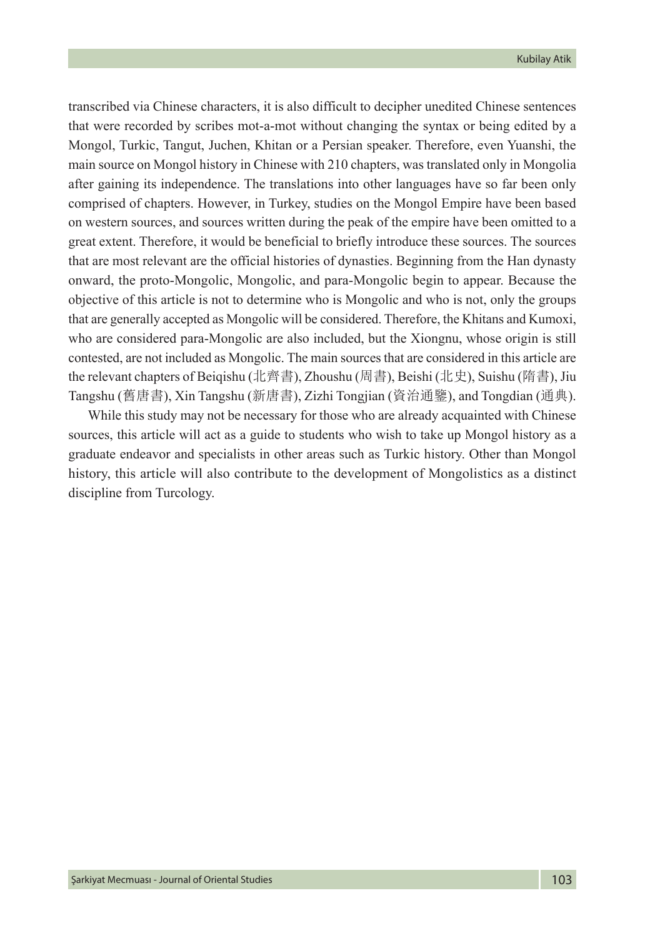transcribed via Chinese characters, it is also difficult to decipher unedited Chinese sentences that were recorded by scribes mot-a-mot without changing the syntax or being edited by a Mongol, Turkic, Tangut, Juchen, Khitan or a Persian speaker. Therefore, even Yuanshi, the main source on Mongol history in Chinese with 210 chapters, was translated only in Mongolia after gaining its independence. The translations into other languages have so far been only comprised of chapters. However, in Turkey, studies on the Mongol Empire have been based on western sources, and sources written during the peak of the empire have been omitted to a great extent. Therefore, it would be beneficial to briefly introduce these sources. The sources that are most relevant are the official histories of dynasties. Beginning from the Han dynasty onward, the proto-Mongolic, Mongolic, and para-Mongolic begin to appear. Because the objective of this article is not to determine who is Mongolic and who is not, only the groups that are generally accepted as Mongolic will be considered. Therefore, the Khitans and Kumoxi, who are considered para-Mongolic are also included, but the Xiongnu, whose origin is still contested, are not included as Mongolic. The main sources that are considered in this article are the relevant chapters of Beiqishu (北齊書), Zhoushu (周書), Beishi (北史), Suishu (隋書), Jiu Tangshu (舊唐書), Xin Tangshu (新唐書), Zizhi Tongjian (資治通鑒), and Tongdian (通典).

While this study may not be necessary for those who are already acquainted with Chinese sources, this article will act as a guide to students who wish to take up Mongol history as a graduate endeavor and specialists in other areas such as Turkic history. Other than Mongol history, this article will also contribute to the development of Mongolistics as a distinct discipline from Turcology.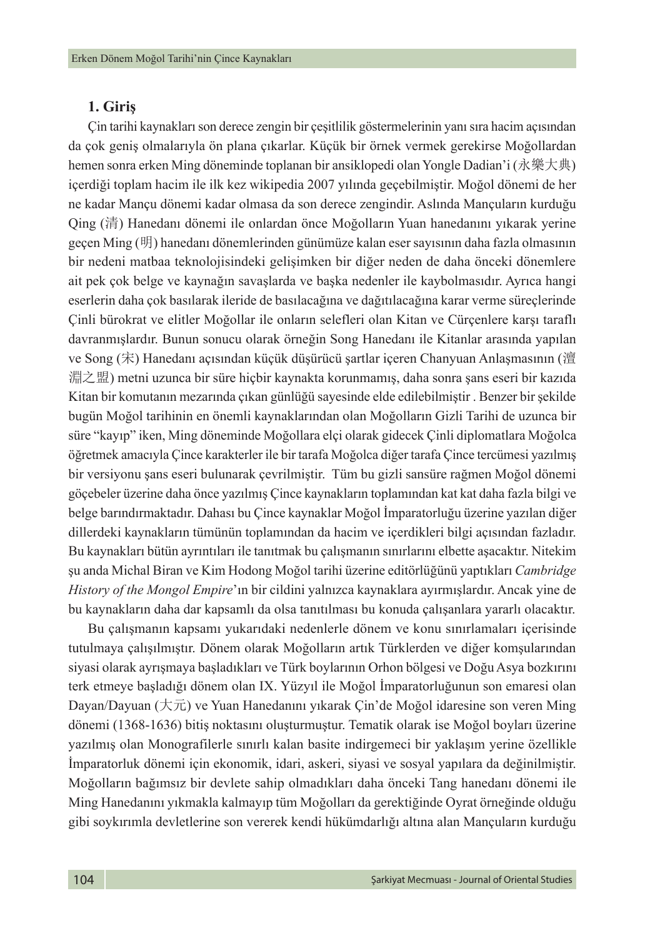#### **1. Giriş**

Çin tarihi kaynakları son derece zengin bir çeşitlilik göstermelerinin yanı sıra hacim açısından da çok geniş olmalarıyla ön plana çıkarlar. Küçük bir örnek vermek gerekirse Moğollardan hemen sonra erken Ming döneminde toplanan bir ansiklopedi olan Yongle Dadian'i (永樂大典) içerdiği toplam hacim ile ilk kez wikipedia 2007 yılında geçebilmiştir. Moğol dönemi de her ne kadar Mançu dönemi kadar olmasa da son derece zengindir. Aslında Mançuların kurduğu Qing (清) Hanedanı dönemi ile onlardan önce Moğolların Yuan hanedanını yıkarak yerine geçen Ming (明) hanedanı dönemlerinden günümüze kalan eser sayısının daha fazla olmasının bir nedeni matbaa teknolojisindeki gelişimken bir diğer neden de daha önceki dönemlere ait pek çok belge ve kaynağın savaşlarda ve başka nedenler ile kaybolmasıdır. Ayrıca hangi eserlerin daha çok basılarak ileride de basılacağına ve dağıtılacağına karar verme süreçlerinde Çinli bürokrat ve elitler Moğollar ile onların selefleri olan Kitan ve Cürçenlere karşı taraflı davranmışlardır. Bunun sonucu olarak örneğin Song Hanedanı ile Kitanlar arasında yapılan ve Song (宋) Hanedanı açısından küçük düşürücü şartlar içeren Chanyuan Anlaşmasının (澶 淵之盟) metni uzunca bir süre hiçbir kaynakta korunmamış, daha sonra şans eseri bir kazıda Kitan bir komutanın mezarında çıkan günlüğü sayesinde elde edilebilmiştir . Benzer bir şekilde bugün Moğol tarihinin en önemli kaynaklarından olan Moğolların Gizli Tarihi de uzunca bir süre "kayıp" iken, Ming döneminde Moğollara elçi olarak gidecek Çinli diplomatlara Moğolca öğretmek amacıyla Çince karakterler ile bir tarafa Moğolca diğer tarafa Çince tercümesi yazılmış bir versiyonu şans eseri bulunarak çevrilmiştir. Tüm bu gizli sansüre rağmen Moğol dönemi göçebeler üzerine daha önce yazılmış Çince kaynakların toplamından kat kat daha fazla bilgi ve belge barındırmaktadır. Dahası bu Çince kaynaklar Moğol İmparatorluğu üzerine yazılan diğer dillerdeki kaynakların tümünün toplamından da hacim ve içerdikleri bilgi açısından fazladır. Bu kaynakları bütün ayrıntıları ile tanıtmak bu çalışmanın sınırlarını elbette aşacaktır. Nitekim şu anda Michal Biran ve Kim Hodong Moğol tarihi üzerine editörlüğünü yaptıkları *Cambridge History of the Mongol Empire*'ın bir cildini yalnızca kaynaklara ayırmışlardır. Ancak yine de bu kaynakların daha dar kapsamlı da olsa tanıtılması bu konuda çalışanlara yararlı olacaktır.

Bu çalışmanın kapsamı yukarıdaki nedenlerle dönem ve konu sınırlamaları içerisinde tutulmaya çalışılmıştır. Dönem olarak Moğolların artık Türklerden ve diğer komşularından siyasi olarak ayrışmaya başladıkları ve Türk boylarının Orhon bölgesi ve Doğu Asya bozkırını terk etmeye başladığı dönem olan IX. Yüzyıl ile Moğol İmparatorluğunun son emaresi olan Dayan/Dayuan (大元) ve Yuan Hanedanını yıkarak Çin'de Moğol idaresine son veren Ming dönemi (1368-1636) bitiş noktasını oluşturmuştur. Tematik olarak ise Moğol boyları üzerine yazılmış olan Monografilerle sınırlı kalan basite indirgemeci bir yaklaşım yerine özellikle İmparatorluk dönemi için ekonomik, idari, askeri, siyasi ve sosyal yapılara da değinilmiştir. Moğolların bağımsız bir devlete sahip olmadıkları daha önceki Tang hanedanı dönemi ile Ming Hanedanını yıkmakla kalmayıp tüm Moğolları da gerektiğinde Oyrat örneğinde olduğu gibi soykırımla devletlerine son vererek kendi hükümdarlığı altına alan Mançuların kurduğu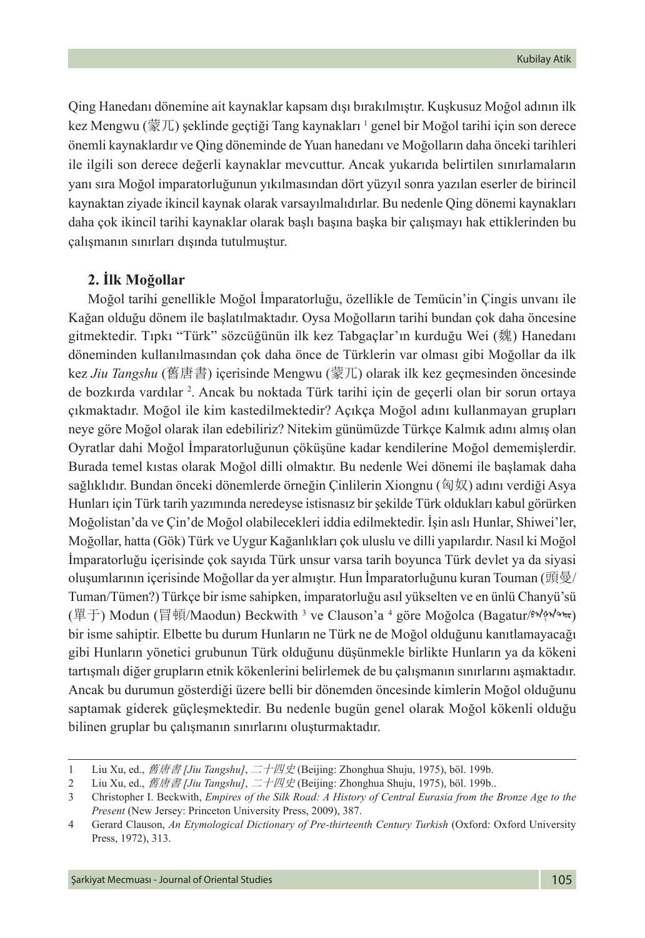Qing Hanedanı dönemine ait kaynaklar kapsam dışı bırakılmıştır. Kuşkusuz Moğol adının ilk kez Mengwu (蒙兀) şeklinde geçtiği Tang kaynakları  $^{\scriptscriptstyle 1}$  genel bir Moğol tarihi için son derece önemli kaynaklardır ve Qing döneminde de Yuan hanedanı ve Moğolların daha önceki tarihleri ile ilgili son derece değerli kaynaklar mevcuttur. Ancak yukarıda belirtilen sınırlamaların yanı sıra Moğol imparatorluğunun yıkılmasından dört yüzyıl sonra yazılan eserler de birincil kaynaktan ziyade ikincil kaynak olarak varsayılmalıdırlar. Bu nedenle Qing dönemi kaynakları daha çok ikincil tarihi kaynaklar olarak başlı başına başka bir çalışmayı hak ettiklerinden bu çalışmanın sınırları dışında tutulmuştur.

### **2. İlk Moğollar**

Moğol tarihi genellikle Moğol İmparatorluğu, özellikle de Temücin'in Çingis unvanı ile Kağan olduğu dönem ile başlatılmaktadır. Oysa Moğolların tarihi bundan çok daha öncesine gitmektedir. Tıpkı "Türk" sözcüğünün ilk kez Tabgaçlar'ın kurduğu Wei (魏) Hanedanı döneminden kullanılmasından çok daha önce de Türklerin var olması gibi Moğollar da ilk kez *Jiu Tangshu* (舊唐書) içerisinde Mengwu (蒙兀) olarak ilk kez geçmesinden öncesinde de bozkırda vardılar 2 . Ancak bu noktada Türk tarihi için de geçerli olan bir sorun ortaya çıkmaktadır. Moğol ile kim kastedilmektedir? Açıkça Moğol adını kullanmayan grupları neye göre Moğol olarak ilan edebiliriz? Nitekim günümüzde Türkçe Kalmık adını almış olan Oyratlar dahi Moğol İmparatorluğunun çöküşüne kadar kendilerine Moğol dememişlerdir. Burada temel kıstas olarak Moğol dilli olmaktır. Bu nedenle Wei dönemi ile başlamak daha sağlıklıdır. Bundan önceki dönemlerde örneğin Çinlilerin Xiongnu (匈奴) adını verdiği Asya Hunları için Türk tarih yazımında neredeyse istisnasız bir şekilde Türk oldukları kabul görürken Moğolistan'da ve Çin'de Moğol olabilecekleri iddia edilmektedir. İşin aslı Hunlar, Shiwei'ler, Moğollar, hatta (Gök) Türk ve Uygur Kağanlıkları çok uluslu ve dilli yapılardır. Nasıl ki Moğol İmparatorluğu içerisinde çok sayıda Türk unsur varsa tarih boyunca Türk devlet ya da siyasi oluşumlarının içerisinde Moğollar da yer almıştır. Hun İmparatorluğunu kuran Touman (頭曼/ Tuman/Tümen?) Türkçe bir isme sahipken, imparatorluğu asıl yükselten ve en ünlü Chanyü'sü (單于) Modun (冒頓/Maodun) Beckwith <sup>3</sup> ve Clauson'a <sup>4</sup> göre Moğolca (Bagatur/해서 <sub>(</sub>M bir isme sahiptir. Elbette bu durum Hunların ne Türk ne de Moğol olduğunu kanıtlamayacağı gibi Hunların yönetici grubunun Türk olduğunu düşünmekle birlikte Hunların ya da kökeni tartışmalı diğer grupların etnik kökenlerini belirlemek de bu çalışmanın sınırlarını aşmaktadır. Ancak bu durumun gösterdiği üzere belli bir dönemden öncesinde kimlerin Moğol olduğunu saptamak giderek güçleşmektedir. Bu nedenle bugün genel olarak Moğol kökenli olduğu bilinen gruplar bu çalışmanın sınırlarını oluşturmaktadır.

<sup>1</sup> Liu Xu, ed., 舊唐書 *[Jiu Tangshu]*, 二十四史 (Beijing: Zhonghua Shuju, 1975), böl. 199b.

<sup>2</sup> Liu Xu, ed., 舊唐書 *[Jiu Tangshu]*, 二十四史 (Beijing: Zhonghua Shuju, 1975), böl. 199b..

<sup>3</sup> Christopher I. Beckwith, *Empires of the Silk Road: A History of Central Eurasia from the Bronze Age to the Present* (New Jersey: Princeton University Press, 2009), 387.

<sup>4</sup> Gerard Clauson, *An Etymological Dictionary of Pre-thirteenth Century Turkish* (Oxford: Oxford University Press, 1972), 313.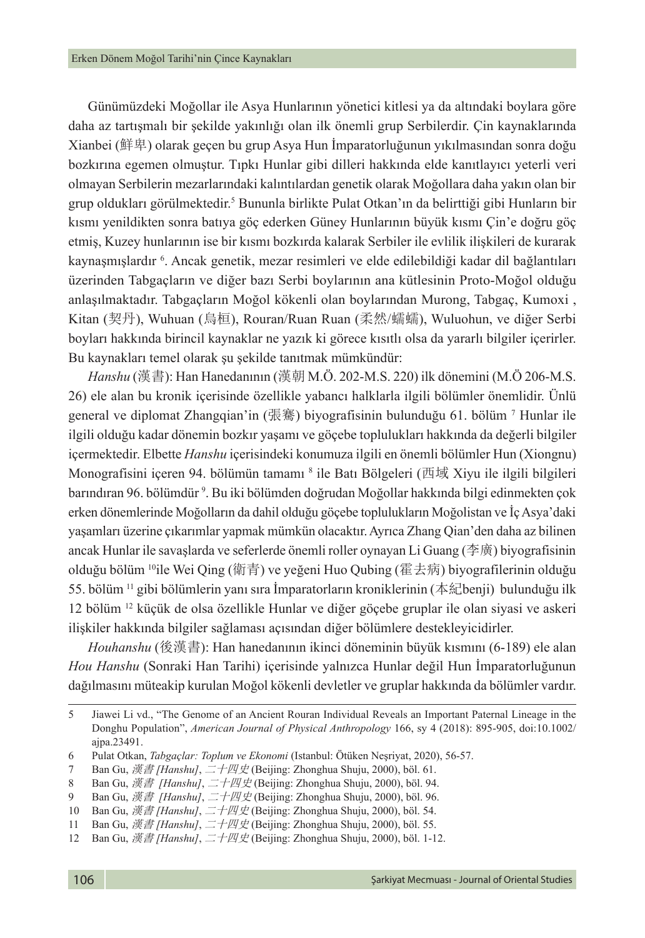Günümüzdeki Moğollar ile Asya Hunlarının yönetici kitlesi ya da altındaki boylara göre daha az tartışmalı bir şekilde yakınlığı olan ilk önemli grup Serbilerdir. Çin kaynaklarında Xianbei (鮮卑) olarak geçen bu grup Asya Hun İmparatorluğunun yıkılmasından sonra doğu bozkırına egemen olmuştur. Tıpkı Hunlar gibi dilleri hakkında elde kanıtlayıcı yeterli veri olmayan Serbilerin mezarlarındaki kalıntılardan genetik olarak Moğollara daha yakın olan bir grup oldukları görülmektedir.<sup>5</sup> Bununla birlikte Pulat Otkan'ın da belirttiği gibi Hunların bir kısmı yenildikten sonra batıya göç ederken Güney Hunlarının büyük kısmı Çin'e doğru göç etmiş, Kuzey hunlarının ise bir kısmı bozkırda kalarak Serbiler ile evlilik ilişkileri de kurarak kaynaşmışlardır 6 . Ancak genetik, mezar resimleri ve elde edilebildiği kadar dil bağlantıları üzerinden Tabgaçların ve diğer bazı Serbi boylarının ana kütlesinin Proto-Moğol olduğu anlaşılmaktadır. Tabgaçların Moğol kökenli olan boylarından Murong, Tabgaç, Kumoxi , Kitan (契丹), Wuhuan (烏桓), Rouran/Ruan Ruan (柔然/蠕蠕), Wuluohun, ve diğer Serbi boyları hakkında birincil kaynaklar ne yazık ki görece kısıtlı olsa da yararlı bilgiler içerirler. Bu kaynakları temel olarak şu şekilde tanıtmak mümkündür:

*Hanshu* (漢書): Han Hanedanının (漢朝 M.Ö. 202-M.S. 220) ilk dönemini (M.Ö 206-M.S. 26) ele alan bu kronik içerisinde özellikle yabancı halklarla ilgili bölümler önemlidir. Ünlü general ve diplomat Zhangqian'in (張騫) biyografisinin bulunduğu 61. bölüm 7 Hunlar ile ilgili olduğu kadar dönemin bozkır yaşamı ve göçebe toplulukları hakkında da değerli bilgiler içermektedir. Elbette *Hanshu* içerisindeki konumuza ilgili en önemli bölümler Hun (Xiongnu) Monografisini içeren 94. bölümün tamamı <sup>8</sup> ile Batı Bölgeleri (西域 Xiyu ile ilgili bilgileri barındıran 96. bölümdür <sup>9</sup>. Bu iki bölümden doğrudan Moğollar hakkında bilgi edinmekten çok erken dönemlerinde Moğolların da dahil olduğu göçebe toplulukların Moğolistan ve İç Asya'daki yaşamları üzerine çıkarımlar yapmak mümkün olacaktır. Ayrıca Zhang Qian'den daha az bilinen ancak Hunlar ile savaşlarda ve seferlerde önemli roller oynayan Li Guang (李廣) biyografisinin olduğu bölüm 10ile Wei Qing (衛青) ve yeğeni Huo Qubing (霍去病) biyografilerinin olduğu 55. bölüm <sup>11</sup> gibi bölümlerin yanı sıra İmparatorların kroniklerinin (本紀benji) bulunduğu ilk 12 bölüm 12 küçük de olsa özellikle Hunlar ve diğer göçebe gruplar ile olan siyasi ve askeri ilişkiler hakkında bilgiler sağlaması açısından diğer bölümlere destekleyicidirler.

*Houhanshu* (後漢書): Han hanedanının ikinci döneminin büyük kısmını (6-189) ele alan *Hou Hanshu* (Sonraki Han Tarihi) içerisinde yalnızca Hunlar değil Hun İmparatorluğunun dağılmasını müteakip kurulan Moğol kökenli devletler ve gruplar hakkında da bölümler vardır.

<sup>5</sup> Jiawei Li vd., "The Genome of an Ancient Rouran Individual Reveals an Important Paternal Lineage in the Donghu Population", *American Journal of Physical Anthropology* 166, sy 4 (2018): 895-905, doi:10.1002/ ajpa.23491.

<sup>6</sup> Pulat Otkan, *Tabgaçlar: Toplum ve Ekonomi* (Istanbul: Ötüken Neşriyat, 2020), 56-57.

<sup>7</sup> Ban Gu, 漢書 *[Hanshu]*, 二十四史 (Beijing: Zhonghua Shuju, 2000), böl. 61.

<sup>8</sup> Ban Gu, 漢書 *[Hanshu]*, 二十四史 (Beijing: Zhonghua Shuju, 2000), böl. 94.

<sup>9</sup> Ban Gu, 漢書 *[Hanshu]*, 二十四史 (Beijing: Zhonghua Shuju, 2000), böl. 96.

<sup>10</sup> Ban Gu, 漢書 *[Hanshu]*, 二十四史 (Beijing: Zhonghua Shuju, 2000), böl. 54.

<sup>11</sup> Ban Gu, 漢書 *[Hanshu]*, 二十四史 (Beijing: Zhonghua Shuju, 2000), böl. 55.

<sup>12</sup> Ban Gu, 漢書 *[Hanshu]*, 二十四史 (Beijing: Zhonghua Shuju, 2000), böl. 1-12.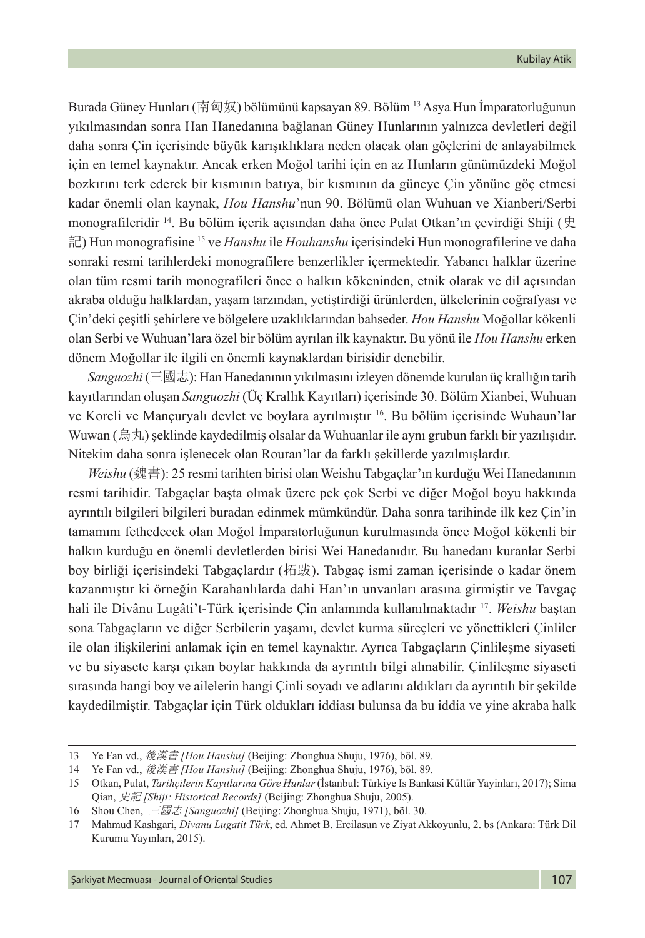Burada Güney Hunları (南匈奴) bölümünü kapsayan 89. Bölüm <sup>13</sup> Asya Hun İmparatorluğunun yıkılmasından sonra Han Hanedanına bağlanan Güney Hunlarının yalnızca devletleri değil daha sonra Çin içerisinde büyük karışıklıklara neden olacak olan göçlerini de anlayabilmek için en temel kaynaktır. Ancak erken Moğol tarihi için en az Hunların günümüzdeki Moğol bozkırını terk ederek bir kısmının batıya, bir kısmının da güneye Çin yönüne göç etmesi kadar önemli olan kaynak, *Hou Hanshu*'nun 90. Bölümü olan Wuhuan ve Xianberi/Serbi monografileridir 14. Bu bölüm içerik açısından daha önce Pulat Otkan'ın çevirdiği Shiji (史 記) Hun monografisine 15 ve *Hanshu* ile *Houhanshu* içerisindeki Hun monografilerine ve daha sonraki resmi tarihlerdeki monografilere benzerlikler içermektedir. Yabancı halklar üzerine olan tüm resmi tarih monografileri önce o halkın kökeninden, etnik olarak ve dil açısından akraba olduğu halklardan, yaşam tarzından, yetiştirdiği ürünlerden, ülkelerinin coğrafyası ve Çin'deki çeşitli şehirlere ve bölgelere uzaklıklarından bahseder. *Hou Hanshu* Moğollar kökenli olan Serbi ve Wuhuan'lara özel bir bölüm ayrılan ilk kaynaktır. Bu yönü ile *Hou Hanshu* erken dönem Moğollar ile ilgili en önemli kaynaklardan birisidir denebilir.

*Sanguozhi* (三國志): Han Hanedanının yıkılmasını izleyen dönemde kurulan üç krallığın tarih kayıtlarından oluşan *Sanguozhi* (Üç Krallık Kayıtları) içerisinde 30. Bölüm Xianbei, Wuhuan ve Koreli ve Mançuryalı devlet ve boylara ayrılmıştır 16. Bu bölüm içerisinde Wuhaun'lar Wuwan (烏丸) şeklinde kaydedilmiş olsalar da Wuhuanlar ile aynı grubun farklı bir yazılışıdır. Nitekim daha sonra işlenecek olan Rouran'lar da farklı şekillerde yazılmışlardır.

*Weishu* (魏書): 25 resmi tarihten birisi olan Weishu Tabgaçlar'ın kurduğu Wei Hanedanının resmi tarihidir. Tabgaçlar başta olmak üzere pek çok Serbi ve diğer Moğol boyu hakkında ayrıntılı bilgileri bilgileri buradan edinmek mümkündür. Daha sonra tarihinde ilk kez Çin'in tamamını fethedecek olan Moğol İmparatorluğunun kurulmasında önce Moğol kökenli bir halkın kurduğu en önemli devletlerden birisi Wei Hanedanıdır. Bu hanedanı kuranlar Serbi boy birliği içerisindeki Tabgaçlardır (拓跋). Tabgaç ismi zaman içerisinde o kadar önem kazanmıştır ki örneğin Karahanlılarda dahi Han'ın unvanları arasına girmiştir ve Tavgaç hali ile Divânu Lugâti't-Türk içerisinde Çin anlamında kullanılmaktadır 17. *Weishu* baştan sona Tabgaçların ve diğer Serbilerin yaşamı, devlet kurma süreçleri ve yönettikleri Çinliler ile olan ilişkilerini anlamak için en temel kaynaktır. Ayrıca Tabgaçların Çinlileşme siyaseti ve bu siyasete karşı çıkan boylar hakkında da ayrıntılı bilgi alınabilir. Çinlileşme siyaseti sırasında hangi boy ve ailelerin hangi Çinli soyadı ve adlarını aldıkları da ayrıntılı bir şekilde kaydedilmiştir. Tabgaçlar için Türk oldukları iddiası bulunsa da bu iddia ve yine akraba halk

<sup>13</sup> Ye Fan vd., 後漢書 *[Hou Hanshu]* (Beijing: Zhonghua Shuju, 1976), böl. 89.

<sup>14</sup> Ye Fan vd., 後漢書 *[Hou Hanshu]* (Beijing: Zhonghua Shuju, 1976), böl. 89.

<sup>15</sup> Otkan, Pulat, *Tarihçilerin Kayıtlarına Göre Hunlar* (İstanbul: Türkiye Is Bankasi Kültür Yayinları, 2017); Sima Qian, 史記 *[Shiji: Historical Records]* (Beijing: Zhonghua Shuju, 2005).

<sup>16</sup> Shou Chen, 三國志 *[Sanguozhi]* (Beijing: Zhonghua Shuju, 1971), böl. 30.

<sup>17</sup> Mahmud Kashgari, *Divanu Lugatit Türk*, ed. Ahmet B. Ercilasun ve Ziyat Akkoyunlu, 2. bs (Ankara: Türk Dil Kurumu Yayınları, 2015).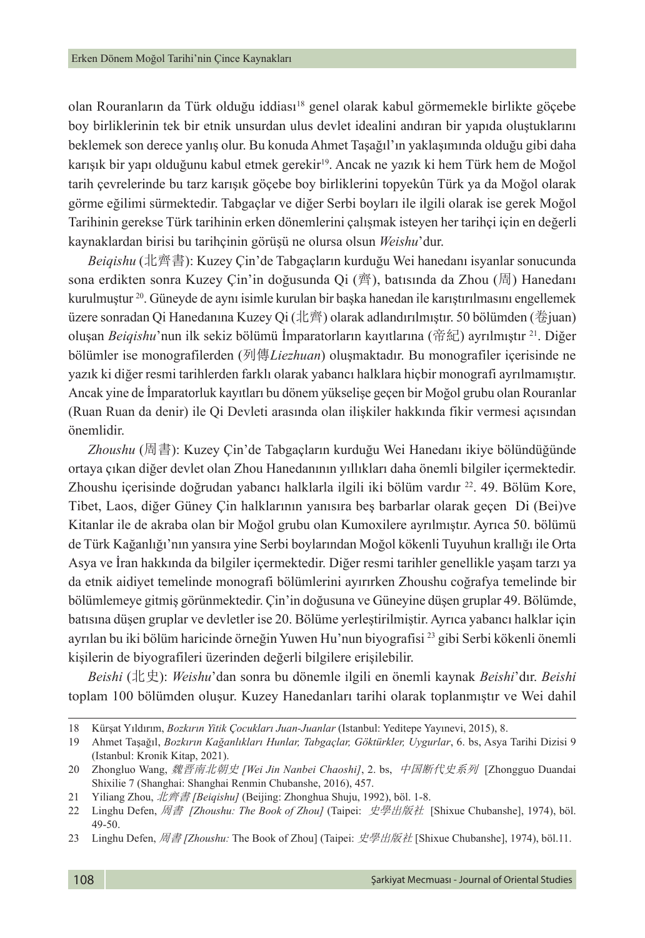olan Rouranların da Türk olduğu iddiası18 genel olarak kabul görmemekle birlikte göçebe boy birliklerinin tek bir etnik unsurdan ulus devlet idealini andıran bir yapıda oluştuklarını beklemek son derece yanlış olur. Bu konuda Ahmet Taşağıl'ın yaklaşımında olduğu gibi daha karışık bir yapı olduğunu kabul etmek gerekir<sup>19</sup>. Ancak ne yazık ki hem Türk hem de Moğol tarih çevrelerinde bu tarz karışık göçebe boy birliklerini topyekûn Türk ya da Moğol olarak görme eğilimi sürmektedir. Tabgaçlar ve diğer Serbi boyları ile ilgili olarak ise gerek Moğol Tarihinin gerekse Türk tarihinin erken dönemlerini çalışmak isteyen her tarihçi için en değerli kaynaklardan birisi bu tarihçinin görüşü ne olursa olsun *Weishu*'dur.

*Beiqishu* (北齊書): Kuzey Çin'de Tabgaçların kurduğu Wei hanedanı isyanlar sonucunda sona erdikten sonra Kuzey Çin'in doğusunda Qi (齊), batısında da Zhou (周) Hanedanı kurulmuştur 20. Güneyde de aynı isimle kurulan bir başka hanedan ile karıştırılmasını engellemek üzere sonradan Qi Hanedanına Kuzey Qi (北齊) olarak adlandırılmıştır. 50 bölümden (卷juan) oluşan *Beiqishu*'nun ilk sekiz bölümü İmparatorların kayıtlarına (帝紀) ayrılmıştır<sup>21</sup>. Diğer bölümler ise monografilerden (列傳*Liezhuan*) oluşmaktadır. Bu monografiler içerisinde ne yazık ki diğer resmi tarihlerden farklı olarak yabancı halklara hiçbir monografi ayrılmamıştır. Ancak yine de İmparatorluk kayıtları bu dönem yükselişe geçen bir Moğol grubu olan Rouranlar (Ruan Ruan da denir) ile Qi Devleti arasında olan ilişkiler hakkında fikir vermesi açısından önemlidir.

*Zhoushu* (周書): Kuzey Çin'de Tabgaçların kurduğu Wei Hanedanı ikiye bölündüğünde ortaya çıkan diğer devlet olan Zhou Hanedanının yıllıkları daha önemli bilgiler içermektedir. Zhoushu içerisinde doğrudan yabancı halklarla ilgili iki bölüm vardır<sup>22</sup>. 49. Bölüm Kore, Tibet, Laos, diğer Güney Çin halklarının yanısıra beş barbarlar olarak geçen Di (Bei)ve Kitanlar ile de akraba olan bir Moğol grubu olan Kumoxilere ayrılmıştır. Ayrıca 50. bölümü de Türk Kağanlığı'nın yansıra yine Serbi boylarından Moğol kökenli Tuyuhun krallığı ile Orta Asya ve İran hakkında da bilgiler içermektedir. Diğer resmi tarihler genellikle yaşam tarzı ya da etnik aidiyet temelinde monografi bölümlerini ayırırken Zhoushu coğrafya temelinde bir bölümlemeye gitmiş görünmektedir. Çin'in doğusuna ve Güneyine düşen gruplar 49. Bölümde, batısına düşen gruplar ve devletler ise 20. Bölüme yerleştirilmiştir. Ayrıca yabancı halklar için ayrılan bu iki bölüm haricinde örneğin Yuwen Hu'nun biyografisi 23 gibi Serbi kökenli önemli kişilerin de biyografileri üzerinden değerli bilgilere erişilebilir.

*Beishi* (北史): *Weishu*'dan sonra bu dönemle ilgili en önemli kaynak *Beishi*'dır. *Beishi* toplam 100 bölümden oluşur. Kuzey Hanedanları tarihi olarak toplanmıştır ve Wei dahil

<sup>18</sup> Kürşat Yıldırım, *Bozkırın Yitik Çocukları Juan-Juanlar* (Istanbul: Yeditepe Yayınevi, 2015), 8.

<sup>19</sup> Ahmet Taşağıl, *Bozkırın Kağanlıkları Hunlar, Tabgaçlar, Göktürkler, Uygurlar*, 6. bs, Asya Tarihi Dizisi 9 (Istanbul: Kronik Kitap, 2021).

<sup>20</sup> Zhongluo Wang, 魏晋南北朝史 *[Wei Jin Nanbei Chaoshi]*, 2. bs, 中国断代史系列 [Zhongguo Duandai Shixilie 7 (Shanghai: Shanghai Renmin Chubanshe, 2016), 457.

<sup>21</sup> Yiliang Zhou, 北齊書 *[Beiqishu]* (Beijing: Zhonghua Shuju, 1992), böl. 1-8.

<sup>22</sup> Linghu Defen, 周書 *[Zhoushu: The Book of Zhou]* (Taipei: 史學出版社 [Shixue Chubanshe], 1974), böl. 49-50.

<sup>23</sup> Linghu Defen, 周書 *[Zhoushu:* The Book of Zhou] (Taipei: 史學出版社 [Shixue Chubanshe], 1974), böl.11.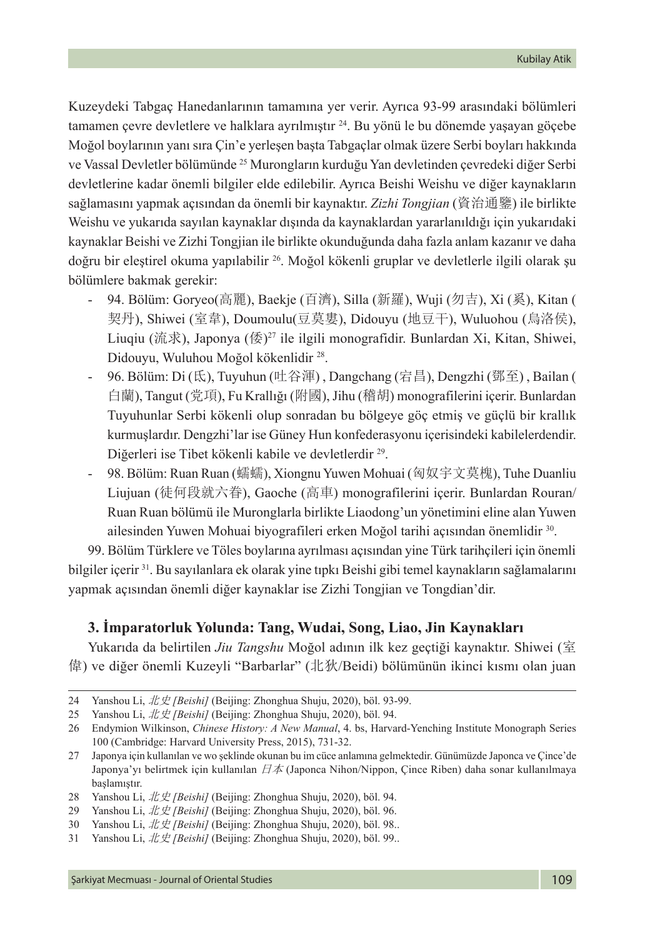Kuzeydeki Tabgaç Hanedanlarının tamamına yer verir. Ayrıca 93-99 arasındaki bölümleri tamamen çevre devletlere ve halklara ayrılmıştır <sup>24</sup>. Bu yönü le bu dönemde yaşayan göçebe Moğol boylarının yanı sıra Çin'e yerleşen başta Tabgaçlar olmak üzere Serbi boyları hakkında ve Vassal Devletler bölümünde <sup>25</sup> Murongların kurduğu Yan devletinden çevredeki diğer Serbi devletlerine kadar önemli bilgiler elde edilebilir. Ayrıca Beishi Weishu ve diğer kaynakların sağlamasını yapmak açısından da önemli bir kaynaktır. *Zizhi Tongjian* (資治通鑒) ile birlikte Weishu ve yukarıda sayılan kaynaklar dışında da kaynaklardan yararlanıldığı için yukarıdaki kaynaklar Beishi ve Zizhi Tongjian ile birlikte okunduğunda daha fazla anlam kazanır ve daha doğru bir eleştirel okuma yapılabilir 26. Moğol kökenli gruplar ve devletlerle ilgili olarak şu bölümlere bakmak gerekir:

- 94. Bölüm: Goryeo(高麗), Baekje (百濟), Silla (新羅), Wuji (勿吉), Xi (奚), Kitan ( 契丹), Shiwei (室韋), Doumoulu(豆莫婁), Didouyu (地豆干), Wuluohou (烏洛侯), Liuqiu (流求), Japonya (倭)27 ile ilgili monografidir. Bunlardan Xi, Kitan, Shiwei, Didouyu, Wuluhou Moğol kökenlidir 28.
- 96. Bölüm: Di (氐), Tuyuhun (吐谷渾) , Dangchang (宕昌), Dengzhi (鄧至) , Bailan ( 白蘭), Tangut (党項), Fu Krallığı (附國), Jihu (稽胡) monografilerini içerir. Bunlardan Tuyuhunlar Serbi kökenli olup sonradan bu bölgeye göç etmiş ve güçlü bir krallık kurmuşlardır. Dengzhi'lar ise Güney Hun konfederasyonu içerisindeki kabilelerdendir. Diğerleri ise Tibet kökenli kabile ve devletlerdir 29.
- 98. Bölüm: Ruan Ruan (蠕蠕), Xiongnu Yuwen Mohuai (匈奴宇文莫槐), Tuhe Duanliu Liujuan (徒何段就六眷), Gaoche (高車) monografilerini içerir. Bunlardan Rouran/ Ruan Ruan bölümü ile Muronglarla birlikte Liaodong'un yönetimini eline alan Yuwen ailesinden Yuwen Mohuai biyografileri erken Moğol tarihi açısından önemlidir 30.

99. Bölüm Türklere ve Töles boylarına ayrılması açısından yine Türk tarihçileri için önemli bilgiler içerir 31. Bu sayılanlara ek olarak yine tıpkı Beishi gibi temel kaynakların sağlamalarını yapmak açısından önemli diğer kaynaklar ise Zizhi Tongjian ve Tongdian'dir.

### **3. İmparatorluk Yolunda: Tang, Wudai, Song, Liao, Jin Kaynakları**

Yukarıda da belirtilen *Jiu Tangshu* Moğol adının ilk kez geçtiği kaynaktır. Shiwei (室 偉) ve diğer önemli Kuzeyli "Barbarlar" (北狄/Beidi) bölümünün ikinci kısmı olan juan

<sup>24</sup> Yanshou Li, 北史 *[Beishi]* (Beijing: Zhonghua Shuju, 2020), böl. 93-99.

<sup>25</sup> Yanshou Li, 北史 *[Beishi]* (Beijing: Zhonghua Shuju, 2020), böl. 94.

<sup>26</sup> Endymion Wilkinson, *Chinese History: A New Manual*, 4. bs, Harvard-Yenching Institute Monograph Series 100 (Cambridge: Harvard University Press, 2015), 731-32.

<sup>27</sup> Japonya için kullanılan ve wo şeklinde okunan bu im cüce anlamına gelmektedir. Günümüzde Japonca ve Çince'de Japonya'yı belirtmek için kullanılan 日本 (Japonca Nihon/Nippon, Çince Riben) daha sonar kullanılmaya başlamıştır.

<sup>28</sup> Yanshou Li, 北史 *[Beishi]* (Beijing: Zhonghua Shuju, 2020), böl. 94.

<sup>29</sup> Yanshou Li, 北史 *[Beishi]* (Beijing: Zhonghua Shuju, 2020), böl. 96.

<sup>30</sup> Yanshou Li, 北史 *[Beishi]* (Beijing: Zhonghua Shuju, 2020), böl. 98..

<sup>31</sup> Yanshou Li, 北史 *[Beishi]* (Beijing: Zhonghua Shuju, 2020), böl. 99..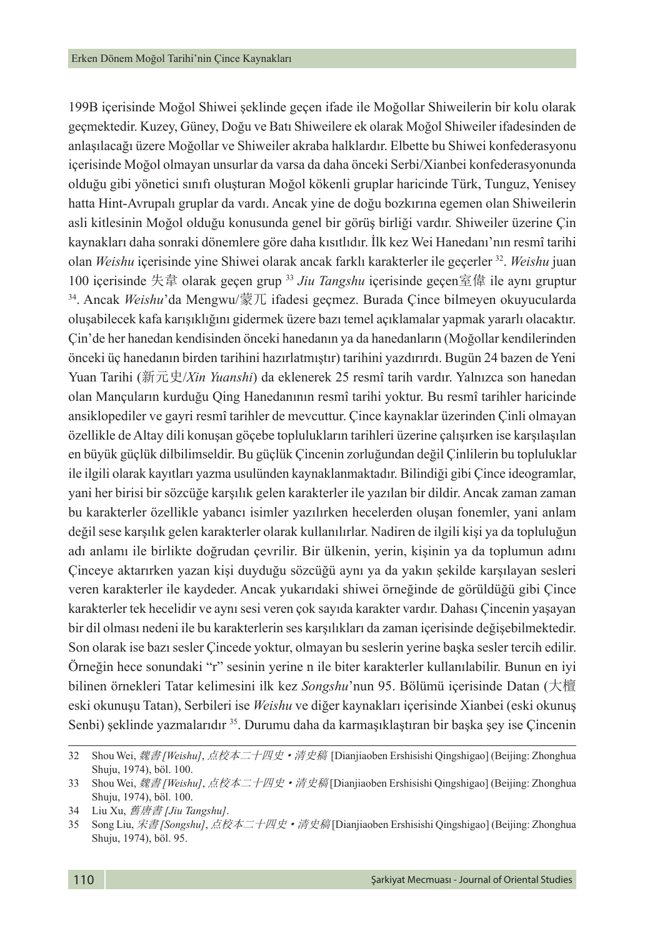199B içerisinde Moğol Shiwei şeklinde geçen ifade ile Moğollar Shiweilerin bir kolu olarak geçmektedir. Kuzey, Güney, Doğu ve Batı Shiweilere ek olarak Moğol Shiweiler ifadesinden de anlaşılacağı üzere Moğollar ve Shiweiler akraba halklardır. Elbette bu Shiwei konfederasyonu içerisinde Moğol olmayan unsurlar da varsa da daha önceki Serbi/Xianbei konfederasyonunda olduğu gibi yönetici sınıfı oluşturan Moğol kökenli gruplar haricinde Türk, Tunguz, Yenisey hatta Hint-Avrupalı gruplar da vardı. Ancak yine de doğu bozkırına egemen olan Shiweilerin asli kitlesinin Moğol olduğu konusunda genel bir görüş birliği vardır. Shiweiler üzerine Çin kaynakları daha sonraki dönemlere göre daha kısıtlıdır. İlk kez Wei Hanedanı'nın resmî tarihi olan *Weishu* içerisinde yine Shiwei olarak ancak farklı karakterler ile geçerler 32. *Weishu* juan 100 içerisinde 失韋 olarak geçen grup 33 *Jiu Tangshu* içerisinde geçen室偉 ile aynı gruptur 34. Ancak *Weishu*'da Mengwu/蒙兀 ifadesi geçmez. Burada Çince bilmeyen okuyucularda oluşabilecek kafa karışıklığını gidermek üzere bazı temel açıklamalar yapmak yararlı olacaktır. Çin'de her hanedan kendisinden önceki hanedanın ya da hanedanların (Moğollar kendilerinden önceki üç hanedanın birden tarihini hazırlatmıştır) tarihini yazdırırdı. Bugün 24 bazen de Yeni Yuan Tarihi (新元史/*Xin Yuanshi*) da eklenerek 25 resmî tarih vardır. Yalnızca son hanedan olan Mançuların kurduğu Qing Hanedanının resmî tarihi yoktur. Bu resmî tarihler haricinde ansiklopediler ve gayri resmî tarihler de mevcuttur. Çince kaynaklar üzerinden Çinli olmayan özellikle de Altay dili konuşan göçebe toplulukların tarihleri üzerine çalışırken ise karşılaşılan en büyük güçlük dilbilimseldir. Bu güçlük Çincenin zorluğundan değil Çinlilerin bu topluluklar ile ilgili olarak kayıtları yazma usulünden kaynaklanmaktadır. Bilindiği gibi Çince ideogramlar, yani her birisi bir sözcüğe karşılık gelen karakterler ile yazılan bir dildir. Ancak zaman zaman bu karakterler özellikle yabancı isimler yazılırken hecelerden oluşan fonemler, yani anlam değil sese karşılık gelen karakterler olarak kullanılırlar. Nadiren de ilgili kişi ya da topluluğun adı anlamı ile birlikte doğrudan çevrilir. Bir ülkenin, yerin, kişinin ya da toplumun adını Çinceye aktarırken yazan kişi duyduğu sözcüğü aynı ya da yakın şekilde karşılayan sesleri veren karakterler ile kaydeder. Ancak yukarıdaki shiwei örneğinde de görüldüğü gibi Çince karakterler tek hecelidir ve aynı sesi veren çok sayıda karakter vardır. Dahası Çincenin yaşayan bir dil olması nedeni ile bu karakterlerin ses karşılıkları da zaman içerisinde değişebilmektedir. Son olarak ise bazı sesler Çincede yoktur, olmayan bu seslerin yerine başka sesler tercih edilir. Örneğin hece sonundaki "r" sesinin yerine n ile biter karakterler kullanılabilir. Bunun en iyi bilinen örnekleri Tatar kelimesini ilk kez *Songshu*'nun 95. Bölümü içerisinde Datan (大檀 eski okunuşu Tatan), Serbileri ise *Weishu* ve diğer kaynakları içerisinde Xianbei (eski okunuş Senbi) şeklinde yazmalarıdır <sup>35</sup>. Durumu daha da karmaşıklaştıran bir başka şey ise Çincenin

<sup>32</sup> Shou Wei, 魏書 *[Weishu]*, 点校本二十四史·清史稿 [Dianjiaoben Ershisishi Qingshigao] (Beijing: Zhonghua Shuju, 1974), böl. 100.

<sup>33</sup> Shou Wei, *魏書 [Weishu]*, 点校本二十四史·清史稿 [Dianjiaoben Ershisishi Qingshigao] (Beijing: Zhonghua Shuju, 1974), böl. 100.

<sup>34</sup> Liu Xu, 舊唐書 *[Jiu Tangshu]*.

<sup>35</sup> Song Liu, 宋書 *[Songshu]*, 点校本二十四史·清史稿 [Dianjiaoben Ershisishi Qingshigao] (Beijing: Zhonghua Shuju, 1974), böl. 95.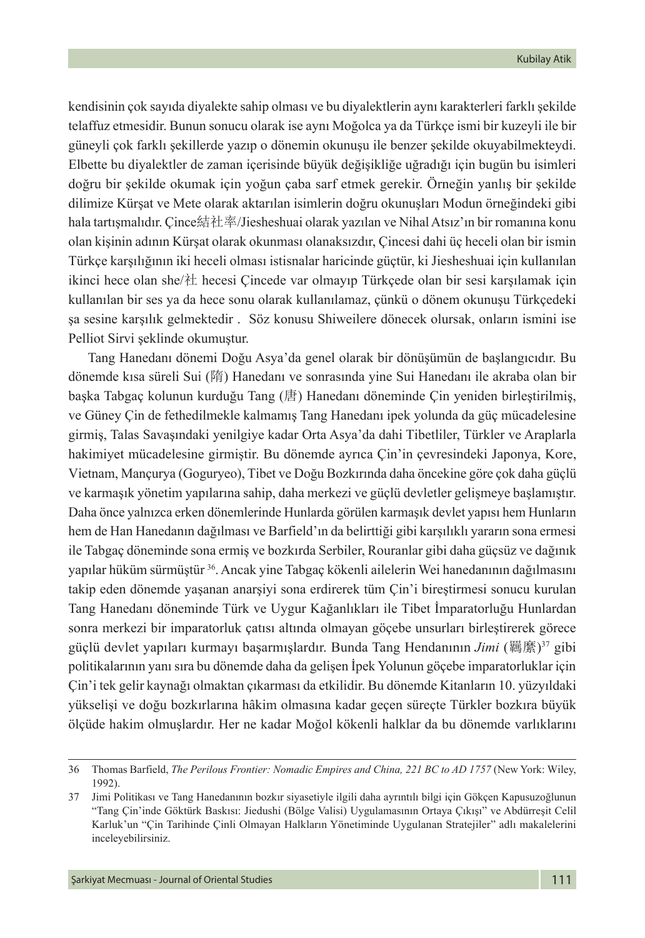kendisinin çok sayıda diyalekte sahip olması ve bu diyalektlerin aynı karakterleri farklı şekilde telaffuz etmesidir. Bunun sonucu olarak ise aynı Moğolca ya da Türkçe ismi bir kuzeyli ile bir güneyli çok farklı şekillerde yazıp o dönemin okunuşu ile benzer şekilde okuyabilmekteydi. Elbette bu diyalektler de zaman içerisinde büyük değişikliğe uğradığı için bugün bu isimleri doğru bir şekilde okumak için yoğun çaba sarf etmek gerekir. Örneğin yanlış bir şekilde dilimize Kürşat ve Mete olarak aktarılan isimlerin doğru okunuşları Modun örneğindeki gibi hala tartışmalıdır. Çince結社率/Jiesheshuai olarak yazılan ve Nihal Atsız'ın bir romanına konu olan kişinin adının Kürşat olarak okunması olanaksızdır, Çincesi dahi üç heceli olan bir ismin Türkçe karşılığının iki heceli olması istisnalar haricinde güçtür, ki Jiesheshuai için kullanılan ikinci hece olan she/社 hecesi Çincede var olmayıp Türkçede olan bir sesi karşılamak için kullanılan bir ses ya da hece sonu olarak kullanılamaz, çünkü o dönem okunuşu Türkçedeki şa sesine karşılık gelmektedir . Söz konusu Shiweilere dönecek olursak, onların ismini ise Pelliot Sirvi şeklinde okumuştur.

Tang Hanedanı dönemi Doğu Asya'da genel olarak bir dönüşümün de başlangıcıdır. Bu dönemde kısa süreli Sui (隋) Hanedanı ve sonrasında yine Sui Hanedanı ile akraba olan bir başka Tabgaç kolunun kurduğu Tang (唐) Hanedanı döneminde Çin yeniden birleştirilmiş, ve Güney Çin de fethedilmekle kalmamış Tang Hanedanı ipek yolunda da güç mücadelesine girmiş, Talas Savaşındaki yenilgiye kadar Orta Asya'da dahi Tibetliler, Türkler ve Araplarla hakimiyet mücadelesine girmiştir. Bu dönemde ayrıca Çin'in çevresindeki Japonya, Kore, Vietnam, Mançurya (Goguryeo), Tibet ve Doğu Bozkırında daha öncekine göre çok daha güçlü ve karmaşık yönetim yapılarına sahip, daha merkezi ve güçlü devletler gelişmeye başlamıştır. Daha önce yalnızca erken dönemlerinde Hunlarda görülen karmaşık devlet yapısı hem Hunların hem de Han Hanedanın dağılması ve Barfield'ın da belirttiği gibi karşılıklı yararın sona ermesi ile Tabgaç döneminde sona ermiş ve bozkırda Serbiler, Rouranlar gibi daha güçsüz ve dağınık yapılar hüküm sürmüştür 36. Ancak yine Tabgaç kökenli ailelerin Wei hanedanının dağılmasını takip eden dönemde yaşanan anarşiyi sona erdirerek tüm Çin'i bireştirmesi sonucu kurulan Tang Hanedanı döneminde Türk ve Uygur Kağanlıkları ile Tibet İmparatorluğu Hunlardan sonra merkezi bir imparatorluk çatısı altında olmayan göçebe unsurları birleştirerek görece güçlü devlet yapıları kurmayı başarmışlardır. Bunda Tang Hendanının *Jimi* (羈縻)37 gibi politikalarının yanı sıra bu dönemde daha da gelişen İpek Yolunun göçebe imparatorluklar için Çin'i tek gelir kaynağı olmaktan çıkarması da etkilidir. Bu dönemde Kitanların 10. yüzyıldaki yükselişi ve doğu bozkırlarına hâkim olmasına kadar geçen süreçte Türkler bozkıra büyük ölçüde hakim olmuşlardır. Her ne kadar Moğol kökenli halklar da bu dönemde varlıklarını

<sup>36</sup> Thomas Barfield, *The Perilous Frontier: Nomadic Empires and China, 221 BC to AD 1757* (New York: Wiley, 1992).

<sup>37</sup> Jimi Politikası ve Tang Hanedanının bozkır siyasetiyle ilgili daha ayrıntılı bilgi için Gökçen Kapusuzoğlunun "Tang Çin'inde Göktürk Baskısı: Jiedushi (Bölge Valisi) Uygulamasının Ortaya Çıkışı" ve Abdürreşit Celil Karluk'un "Çin Tarihinde Çinli Olmayan Halkların Yönetiminde Uygulanan Stratejiler" adlı makalelerini inceleyebilirsiniz.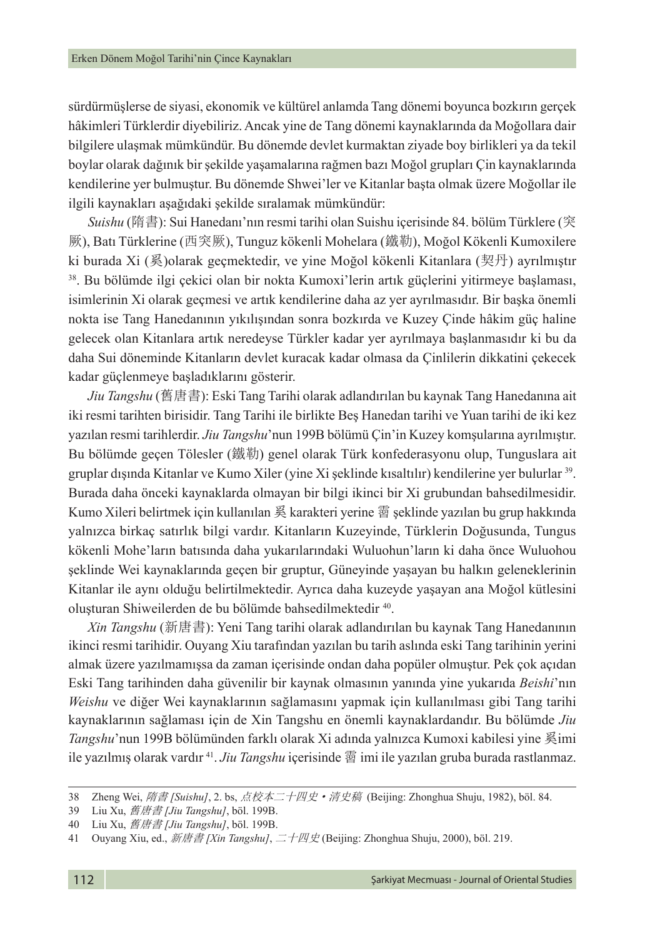sürdürmüşlerse de siyasi, ekonomik ve kültürel anlamda Tang dönemi boyunca bozkırın gerçek hâkimleri Türklerdir diyebiliriz. Ancak yine de Tang dönemi kaynaklarında da Moğollara dair bilgilere ulaşmak mümkündür. Bu dönemde devlet kurmaktan ziyade boy birlikleri ya da tekil boylar olarak dağınık bir şekilde yaşamalarına rağmen bazı Moğol grupları Çin kaynaklarında kendilerine yer bulmuştur. Bu dönemde Shwei'ler ve Kitanlar başta olmak üzere Moğollar ile ilgili kaynakları aşağıdaki şekilde sıralamak mümkündür:

*Suishu* (隋書): Sui Hanedanı'nın resmi tarihi olan Suishu içerisinde 84. bölüm Türklere (突 厥), Batı Türklerine (西突厥), Tunguz kökenli Mohelara (鐵勒), Moğol Kökenli Kumoxilere ki burada Xi (奚)olarak geçmektedir, ve yine Moğol kökenli Kitanlara (契丹) ayrılmıştır 38. Bu bölümde ilgi çekici olan bir nokta Kumoxi'lerin artık güçlerini yitirmeye başlaması, isimlerinin Xi olarak geçmesi ve artık kendilerine daha az yer ayrılmasıdır. Bir başka önemli nokta ise Tang Hanedanının yıkılışından sonra bozkırda ve Kuzey Çinde hâkim güç haline gelecek olan Kitanlara artık neredeyse Türkler kadar yer ayrılmaya başlanmasıdır ki bu da daha Sui döneminde Kitanların devlet kuracak kadar olmasa da Çinlilerin dikkatini çekecek kadar güçlenmeye başladıklarını gösterir.

*Jiu Tangshu* (舊唐書): Eski Tang Tarihi olarak adlandırılan bu kaynak Tang Hanedanına ait iki resmi tarihten birisidir. Tang Tarihi ile birlikte Beş Hanedan tarihi ve Yuan tarihi de iki kez yazılan resmi tarihlerdir. *Jiu Tangshu*'nun 199B bölümü Çin'in Kuzey komşularına ayrılmıştır. Bu bölümde geçen Tölesler (鐵勒) genel olarak Türk konfederasyonu olup, Tunguslara ait gruplar dışında Kitanlar ve Kumo Xiler (yine Xi şeklinde kısaltılır) kendilerine yer bulurlar 39. Burada daha önceki kaynaklarda olmayan bir bilgi ikinci bir Xi grubundan bahsedilmesidir. Kumo Xileri belirtmek için kullanılan 奚 karakteri yerine 霫 şeklinde yazılan bu grup hakkında yalnızca birkaç satırlık bilgi vardır. Kitanların Kuzeyinde, Türklerin Doğusunda, Tungus kökenli Mohe'ların batısında daha yukarılarındaki Wuluohun'ların ki daha önce Wuluohou şeklinde Wei kaynaklarında geçen bir gruptur, Güneyinde yaşayan bu halkın geleneklerinin Kitanlar ile aynı olduğu belirtilmektedir. Ayrıca daha kuzeyde yaşayan ana Moğol kütlesini oluşturan Shiweilerden de bu bölümde bahsedilmektedir 40.

*Xin Tangshu* (新唐書): Yeni Tang tarihi olarak adlandırılan bu kaynak Tang Hanedanının ikinci resmi tarihidir. Ouyang Xiu tarafından yazılan bu tarih aslında eski Tang tarihinin yerini almak üzere yazılmamışsa da zaman içerisinde ondan daha popüler olmuştur. Pek çok açıdan Eski Tang tarihinden daha güvenilir bir kaynak olmasının yanında yine yukarıda *Beishi*'nın *Weishu* ve diğer Wei kaynaklarının sağlamasını yapmak için kullanılması gibi Tang tarihi kaynaklarının sağlaması için de Xin Tangshu en önemli kaynaklardandır. Bu bölümde *Jiu Tangshu*'nun 199B bölümünden farklı olarak Xi adında yalnızca Kumoxi kabilesi yine 奚imi ile yazılmış olarak vardır 41. *Jiu Tangshu* içerisinde 霫 imi ile yazılan gruba burada rastlanmaz.

<sup>38</sup> Zheng Wei, 隋書 *[Suishu]*, 2. bs, 点校本二十四史·清史稿 (Beijing: Zhonghua Shuju, 1982), böl. 84.

<sup>39</sup> Liu Xu, 舊唐書 *[Jiu Tangshu]*, böl. 199B.

<sup>40</sup> Liu Xu, 舊唐書 *[Jiu Tangshu]*, böl. 199B.

<sup>41</sup> Ouyang Xiu, ed., 新唐書 *[Xin Tangshu]*, 二十四史 (Beijing: Zhonghua Shuju, 2000), böl. 219.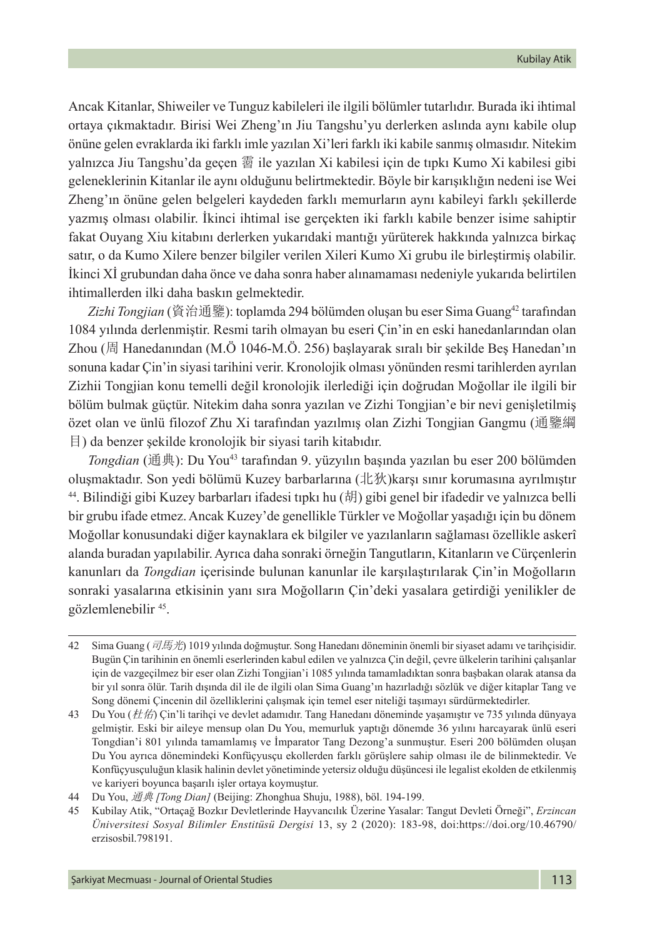Ancak Kitanlar, Shiweiler ve Tunguz kabileleri ile ilgili bölümler tutarlıdır. Burada iki ihtimal ortaya çıkmaktadır. Birisi Wei Zheng'ın Jiu Tangshu'yu derlerken aslında aynı kabile olup önüne gelen evraklarda iki farklı imle yazılan Xi'leri farklı iki kabile sanmış olmasıdır. Nitekim yalnızca Jiu Tangshu'da geçen 霫 ile yazılan Xi kabilesi için de tıpkı Kumo Xi kabilesi gibi geleneklerinin Kitanlar ile aynı olduğunu belirtmektedir. Böyle bir karışıklığın nedeni ise Wei Zheng'ın önüne gelen belgeleri kaydeden farklı memurların aynı kabileyi farklı şekillerde yazmış olması olabilir. İkinci ihtimal ise gerçekten iki farklı kabile benzer isime sahiptir fakat Ouyang Xiu kitabını derlerken yukarıdaki mantığı yürüterek hakkında yalnızca birkaç satır, o da Kumo Xilere benzer bilgiler verilen Xileri Kumo Xi grubu ile birleştirmiş olabilir. İkinci Xİ grubundan daha önce ve daha sonra haber alınamaması nedeniyle yukarıda belirtilen ihtimallerden ilki daha baskın gelmektedir.

*Zizhi Tongjian* (資治通鑒): toplamda 294 bölümden oluşan bu eser Sima Guang42 tarafından 1084 yılında derlenmiştir. Resmi tarih olmayan bu eseri Çin'in en eski hanedanlarından olan Zhou (周 Hanedanından (M.Ö 1046-M.Ö. 256) başlayarak sıralı bir şekilde Beş Hanedan'ın sonuna kadar Çin'in siyasi tarihini verir. Kronolojik olması yönünden resmi tarihlerden ayrılan Zizhii Tongjian konu temelli değil kronolojik ilerlediği için doğrudan Moğollar ile ilgili bir bölüm bulmak güçtür. Nitekim daha sonra yazılan ve Zizhi Tongjian'e bir nevi genişletilmiş özet olan ve ünlü filozof Zhu Xi tarafından yazılmış olan Zizhi Tongjian Gangmu (通鑒綱 目) da benzer şekilde kronolojik bir siyasi tarih kitabıdır.

*Tongdian* (通典): Du You43 tarafından 9. yüzyılın başında yazılan bu eser 200 bölümden oluşmaktadır. Son yedi bölümü Kuzey barbarlarına (北狄)karşı sınır korumasına ayrılmıştır 44. Bilindiği gibi Kuzey barbarları ifadesi tıpkı hu (胡) gibi genel bir ifadedir ve yalnızca belli bir grubu ifade etmez. Ancak Kuzey'de genellikle Türkler ve Moğollar yaşadığı için bu dönem Moğollar konusundaki diğer kaynaklara ek bilgiler ve yazılanların sağlaması özellikle askerî alanda buradan yapılabilir. Ayrıca daha sonraki örneğin Tangutların, Kitanların ve Cürçenlerin kanunları da *Tongdian* içerisinde bulunan kanunlar ile karşılaştırılarak Çin'in Moğolların sonraki yasalarına etkisinin yanı sıra Moğolların Çin'deki yasalara getirdiği yenilikler de gözlemlenebilir 45.

<sup>42</sup> Sima Guang (司馬光) 1019 yılında doğmuştur. Song Hanedanı döneminin önemli bir siyaset adamı ve tarihçisidir. Bugün Çin tarihinin en önemli eserlerinden kabul edilen ve yalnızca Çin değil, çevre ülkelerin tarihini çalışanlar için de vazgeçilmez bir eser olan Zizhi Tongjian'i 1085 yılında tamamladıktan sonra başbakan olarak atansa da bir yıl sonra ölür. Tarih dışında dil ile de ilgili olan Sima Guang'ın hazırladığı sözlük ve diğer kitaplar Tang ve Song dönemi Çincenin dil özelliklerini çalışmak için temel eser niteliği taşımayı sürdürmektedirler.

<sup>43</sup> Du You ( $t\bar{t}/\dot{t}$ ) Cin'li tarihçi ve devlet adamıdır. Tang Hanedanı döneminde yaşamıştır ve 735 yılında dünyaya gelmiştir. Eski bir aileye mensup olan Du You, memurluk yaptığı dönemde 36 yılını harcayarak ünlü eseri Tongdian'i 801 yılında tamamlamış ve İmparator Tang Dezong'a sunmuştur. Eseri 200 bölümden oluşan Du You ayrıca dönemindeki Konfüçyusçu ekollerden farklı görüşlere sahip olması ile de bilinmektedir. Ve Konfüçyusçuluğun klasik halinin devlet yönetiminde yetersiz olduğu düşüncesi ile legalist ekolden de etkilenmiş ve kariyeri boyunca başarılı işler ortaya koymuştur.

<sup>44</sup> Du You, 通典 *[Tong Dian]* (Beijing: Zhonghua Shuju, 1988), böl. 194-199.

<sup>45</sup> Kubilay Atik, "Ortaçağ Bozkır Devletlerinde Hayvancılık Üzerine Yasalar: Tangut Devleti Örneği", *Erzincan Üniversitesi Sosyal Bilimler Enstitüsü Dergisi* 13, sy 2 (2020): 183-98, doi:https://doi.org/10.46790/ erzisosbil.798191.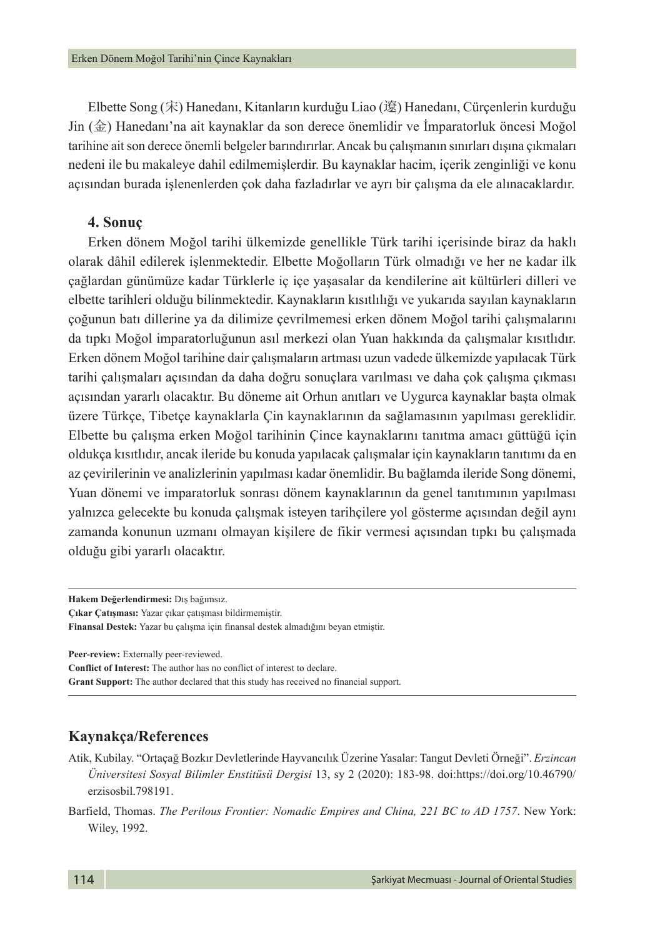Elbette Song (宋) Hanedanı, Kitanların kurduğu Liao (遼) Hanedanı, Cürçenlerin kurduğu Jin (金) Hanedanı'na ait kaynaklar da son derece önemlidir ve İmparatorluk öncesi Moğol tarihine ait son derece önemli belgeler barındırırlar. Ancak bu çalışmanın sınırları dışına çıkmaları nedeni ile bu makaleye dahil edilmemişlerdir. Bu kaynaklar hacim, içerik zenginliği ve konu açısından burada işlenenlerden çok daha fazladırlar ve ayrı bir çalışma da ele alınacaklardır.

#### **4. Sonuç**

Erken dönem Moğol tarihi ülkemizde genellikle Türk tarihi içerisinde biraz da haklı olarak dâhil edilerek işlenmektedir. Elbette Moğolların Türk olmadığı ve her ne kadar ilk çağlardan günümüze kadar Türklerle iç içe yaşasalar da kendilerine ait kültürleri dilleri ve elbette tarihleri olduğu bilinmektedir. Kaynakların kısıtlılığı ve yukarıda sayılan kaynakların çoğunun batı dillerine ya da dilimize çevrilmemesi erken dönem Moğol tarihi çalışmalarını da tıpkı Moğol imparatorluğunun asıl merkezi olan Yuan hakkında da çalışmalar kısıtlıdır. Erken dönem Moğol tarihine dair çalışmaların artması uzun vadede ülkemizde yapılacak Türk tarihi çalışmaları açısından da daha doğru sonuçlara varılması ve daha çok çalışma çıkması açısından yararlı olacaktır. Bu döneme ait Orhun anıtları ve Uygurca kaynaklar başta olmak üzere Türkçe, Tibetçe kaynaklarla Çin kaynaklarının da sağlamasının yapılması gereklidir. Elbette bu çalışma erken Moğol tarihinin Çince kaynaklarını tanıtma amacı güttüğü için oldukça kısıtlıdır, ancak ileride bu konuda yapılacak çalışmalar için kaynakların tanıtımı da en az çevirilerinin ve analizlerinin yapılması kadar önemlidir. Bu bağlamda ileride Song dönemi, Yuan dönemi ve imparatorluk sonrası dönem kaynaklarının da genel tanıtımının yapılması yalnızca gelecekte bu konuda çalışmak isteyen tarihçilere yol gösterme açısından değil aynı zamanda konunun uzmanı olmayan kişilere de fikir vermesi açısından tıpkı bu çalışmada olduğu gibi yararlı olacaktır.

**Peer-review:** Externally peer-reviewed.

**Conflict of Interest:** The author has no conflict of interest to declare.

**Grant Support:** The author declared that this study has received no financial support.

#### **Kaynakça/References**

- Atik, Kubilay. "Ortaçağ Bozkır Devletlerinde Hayvancılık Üzerine Yasalar: Tangut Devleti Örneği". *Erzincan Üniversitesi Sosyal Bilimler Enstitüsü Dergisi* 13, sy 2 (2020): 183-98. doi:https://doi.org/10.46790/ erzisosbil.798191.
- Barfield, Thomas. *The Perilous Frontier: Nomadic Empires and China, 221 BC to AD 1757*. New York: Wiley, 1992.

**Hakem Değerlendirmesi:** Dış bağımsız. **Çıkar Çatışması:** Yazar çıkar çatışması bildirmemiştir. **Finansal Destek:** Yazar bu çalışma için finansal destek almadığını beyan etmiştir.